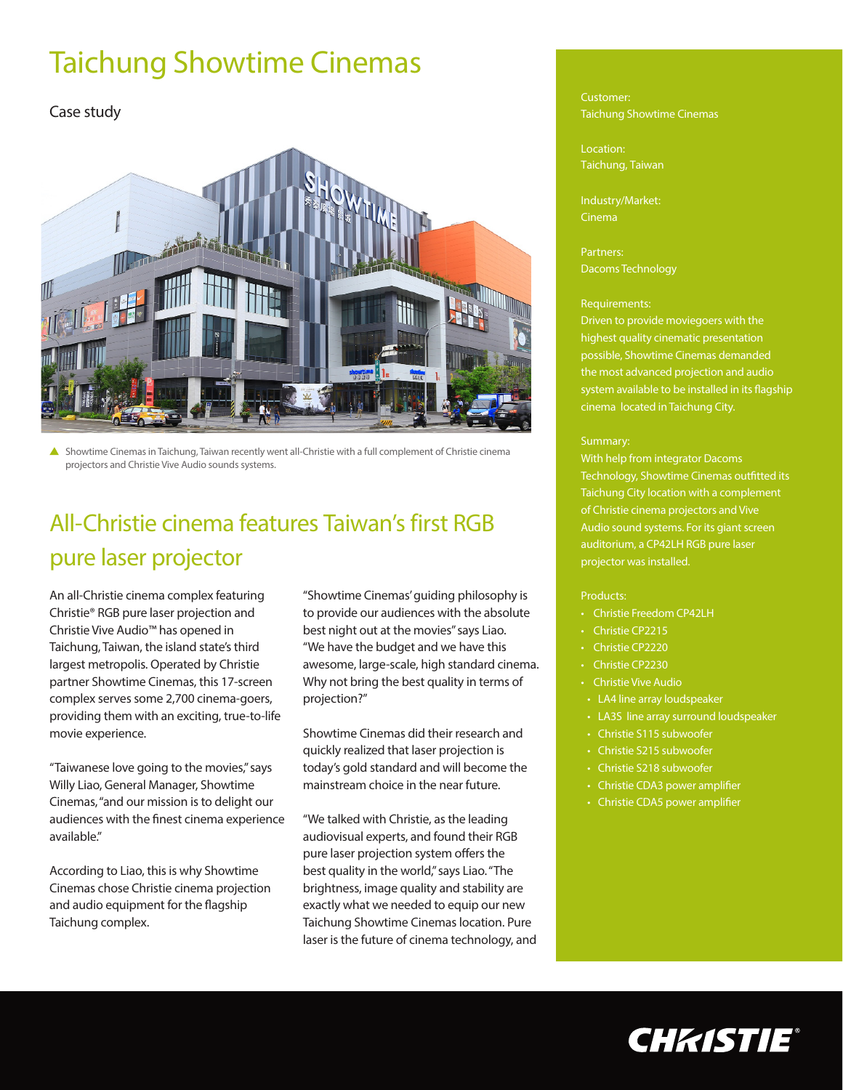# Taichung Showtime Cinemas

### Case study



 Showtime Cinemas in Taichung, Taiwan recently went all-Christie with a full complement of Christie cinema projectors and Christie Vive Audio sounds systems.

## All-Christie cinema features Taiwan's first RGB pure laser projector

An all-Christie cinema complex featuring Christie® RGB pure laser projection and Christie Vive Audio™ has opened in Taichung, Taiwan, the island state's third largest metropolis. Operated by Christie partner Showtime Cinemas, this 17-screen complex serves some 2,700 cinema-goers, providing them with an exciting, true-to-life movie experience.

"Taiwanese love going to the movies," says Willy Liao, General Manager, Showtime Cinemas, "and our mission is to delight our audiences with the finest cinema experience available."

According to Liao, this is why Showtime Cinemas chose Christie cinema projection and audio equipment for the flagship Taichung complex.

"Showtime Cinemas' guiding philosophy is to provide our audiences with the absolute best night out at the movies" says Liao. "We have the budget and we have this awesome, large-scale, high standard cinema. Why not bring the best quality in terms of projection?"

Showtime Cinemas did their research and quickly realized that laser projection is today's gold standard and will become the mainstream choice in the near future.

"We talked with Christie, as the leading audiovisual experts, and found their RGB pure laser projection system offers the best quality in the world," says Liao. "The brightness, image quality and stability are exactly what we needed to equip our new Taichung Showtime Cinemas location. Pure laser is the future of cinema technology, and

#### Customer: Taichung Showtime Cinemas

Location: Taichung, Taiwan

Industry/Market: Cinema

Partners: Dacoms Technology

#### Requirements:

Driven to provide moviegoers with the highest quality cinematic presentation possible, Showtime Cinemas demanded the most advanced projection and audio system available to be installed in its flagship cinema located in Taichung City.

#### Summary:

With help from integrator Dacoms Technology, Showtime Cinemas outfitted its Taichung City location with a complement of Christie cinema projectors and Vive Audio sound systems. For its giant screen auditorium, a CP42LH RGB pure laser projector was installed.

#### Products:

- Christie Freedom CP42LH
- Christie CP2215
- Christie CP2220
- Christie CP2230
- Christie Vive Audio
- LA4 line array loudspeaker
- LA3S line array surround loudspeaker
- Christie S115 subwoofer
- Christie S215 subwoofer
- Christie S218 subwoofer
- Christie CDA3 power amplifier
- Christie CDA5 power amplifier